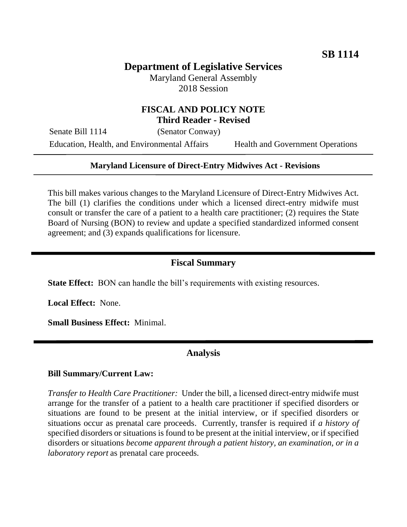# **Department of Legislative Services**

Maryland General Assembly 2018 Session

## **FISCAL AND POLICY NOTE Third Reader - Revised**

Senate Bill 1114 (Senator Conway) Education, Health, and Environmental Affairs Health and Government Operations

#### **Maryland Licensure of Direct-Entry Midwives Act - Revisions**

This bill makes various changes to the Maryland Licensure of Direct-Entry Midwives Act. The bill (1) clarifies the conditions under which a licensed direct-entry midwife must consult or transfer the care of a patient to a health care practitioner; (2) requires the State Board of Nursing (BON) to review and update a specified standardized informed consent agreement; and (3) expands qualifications for licensure.

### **Fiscal Summary**

**State Effect:** BON can handle the bill's requirements with existing resources.

**Local Effect:** None.

**Small Business Effect:** Minimal.

## **Analysis**

#### **Bill Summary/Current Law:**

*Transfer to Health Care Practitioner:* Under the bill, a licensed direct-entry midwife must arrange for the transfer of a patient to a health care practitioner if specified disorders or situations are found to be present at the initial interview, or if specified disorders or situations occur as prenatal care proceeds. Currently, transfer is required if *a history of* specified disorders or situations is found to be present at the initial interview, or if specified disorders or situations *become apparent through a patient history, an examination, or in a laboratory report* as prenatal care proceeds.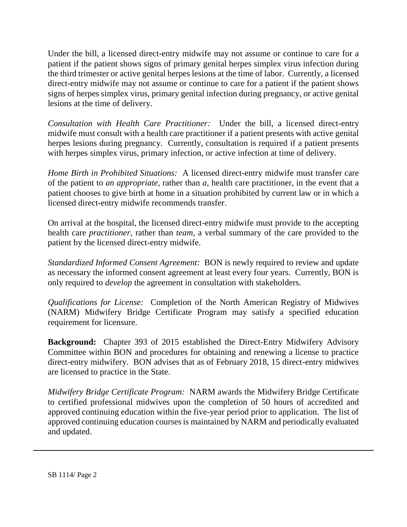Under the bill, a licensed direct-entry midwife may not assume or continue to care for a patient if the patient shows signs of primary genital herpes simplex virus infection during the third trimester or active genital herpes lesions at the time of labor. Currently, a licensed direct-entry midwife may not assume or continue to care for a patient if the patient shows signs of herpes simplex virus, primary genital infection during pregnancy, or active genital lesions at the time of delivery.

*Consultation with Health Care Practitioner:* Under the bill, a licensed direct-entry midwife must consult with a health care practitioner if a patient presents with active genital herpes lesions during pregnancy. Currently, consultation is required if a patient presents with herpes simplex virus, primary infection, or active infection at time of delivery.

*Home Birth in Prohibited Situations:* A licensed direct-entry midwife must transfer care of the patient to *an appropriate*, rather than *a*, health care practitioner, in the event that a patient chooses to give birth at home in a situation prohibited by current law or in which a licensed direct-entry midwife recommends transfer.

On arrival at the hospital, the licensed direct-entry midwife must provide to the accepting health care *practitioner*, rather than *team*, a verbal summary of the care provided to the patient by the licensed direct-entry midwife.

*Standardized Informed Consent Agreement:* BON is newly required to review and update as necessary the informed consent agreement at least every four years. Currently, BON is only required to *develop* the agreement in consultation with stakeholders.

*Qualifications for License:* Completion of the North American Registry of Midwives (NARM) Midwifery Bridge Certificate Program may satisfy a specified education requirement for licensure.

**Background:** Chapter 393 of 2015 established the Direct-Entry Midwifery Advisory Committee within BON and procedures for obtaining and renewing a license to practice direct-entry midwifery. BON advises that as of February 2018, 15 direct-entry midwives are licensed to practice in the State.

*Midwifery Bridge Certificate Program:* NARM awards the Midwifery Bridge Certificate to certified professional midwives upon the completion of 50 hours of accredited and approved continuing education within the five-year period prior to application. The list of approved continuing education courses is maintained by NARM and periodically evaluated and updated.